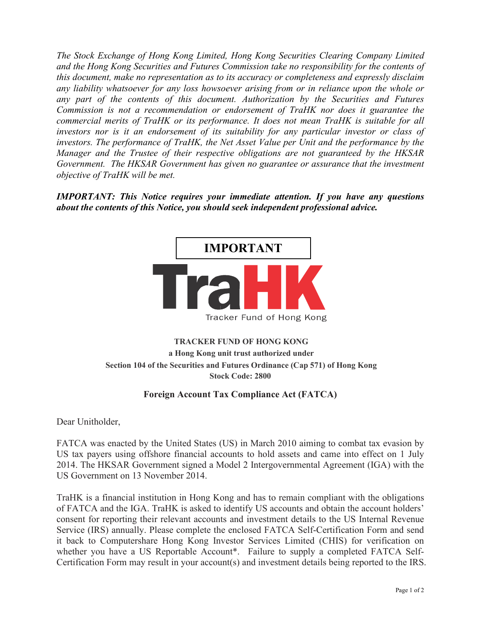*The Stock Exchange of Hong Kong Limited, Hong Kong Securities Clearing Company Limited and the Hong Kong Securities and Futures Commission take no responsibility for the contents of this document, make no representation as to its accuracy or completeness and expressly disclaim any liability whatsoever for any loss howsoever arising from or in reliance upon the whole or any part of the contents of this document. Authorization by the Securities and Futures Commission is not a recommendation or endorsement of TraHK nor does it guarantee the commercial merits of TraHK or its performance. It does not mean TraHK is suitable for all investors nor is it an endorsement of its suitability for any particular investor or class of investors. The performance of TraHK, the Net Asset Value per Unit and the performance by the Manager and the Trustee of their respective obligations are not guaranteed by the HKSAR Government. The HKSAR Government has given no guarantee or assurance that the investment objective of TraHK will be met.* 

*IMPORTANT: This Notice requires your immediate attention. If you have any questions about the contents of this Notice, you should seek independent professional advice.*



## **TRACKER FUND OF HONG KONG a Hong Kong unit trust authorized under Section 104 of the Securities and Futures Ordinance (Cap 571) of Hong Kong Stock Code: 2800**

### **Foreign Account Tax Compliance Act (FATCA)**

Dear Unitholder,

FATCA was enacted by the United States (US) in March 2010 aiming to combat tax evasion by US tax payers using offshore financial accounts to hold assets and came into effect on 1 July 2014. The HKSAR Government signed a Model 2 Intergovernmental Agreement (IGA) with the US Government on 13 November 2014.

TraHK is a financial institution in Hong Kong and has to remain compliant with the obligations of FATCA and the IGA. TraHK is asked to identify US accounts and obtain the account holders' consent for reporting their relevant accounts and investment details to the US Internal Revenue Service (IRS) annually. Please complete the enclosed FATCA Self-Certification Form and send it back to Computershare Hong Kong Investor Services Limited (CHIS) for verification on whether you have a US Reportable Account\*. Failure to supply a completed FATCA Self-Certification Form may result in your account(s) and investment details being reported to the IRS.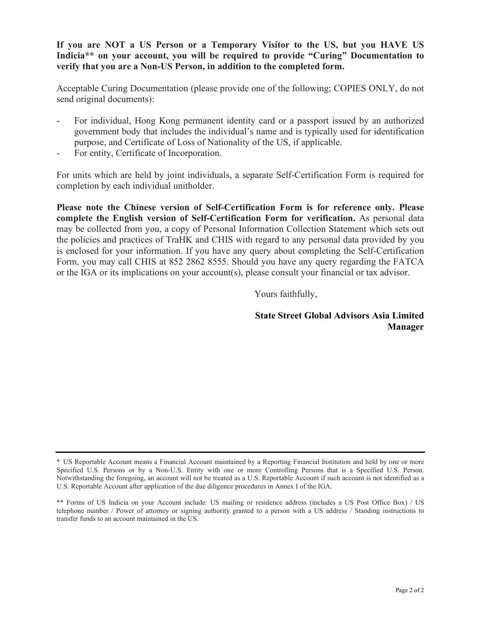#### **If you are NOT a US Person or a Temporary Visitor to the US, but you HAVE US Indicia\*\* on your account, you will be required to provide "Curing" Documentation to verify that you are a Non-US Person, in addition to the completed form.**

Acceptable Curing Documentation (please provide one of the following; COPIES ONLY, do not send original documents):

- For individual, Hong Kong permanent identity card or a passport issued by an authorized government body that includes the individual's name and is typically used for identification purpose, and Certificate of Loss of Nationality of the US, if applicable.
- For entity, Certificate of Incorporation.

For units which are held by joint individuals, a separate Self-Certification Form is required for completion by each individual unitholder.

**Please note the Chinese version of Self-Certification Form is for reference only. Please complete the English version of Self-Certification Form for verification.** As personal data may be collected from you, a copy of Personal Information Collection Statement which sets out the policies and practices of TraHK and CHIS with regard to any personal data provided by you is enclosed for your information. If you have any query about completing the Self-Certification Form, you may call CHIS at 852 2862 8555. Should you have any query regarding the FATCA or the IGA or its implications on your account(s), please consult your financial or tax advisor.

Yours faithfully,

**State Street Global Advisors Asia Limited Manager** 

<sup>\*</sup> US Reportable Account means a Financial Account maintained by a Reporting Financial Institution and held by one or more Specified U.S. Persons or by a Non-U.S. Entity with one or more Controlling Persons that is a Specified U.S. Person. Notwithstanding the foregoing, an account will not be treated as a U.S. Reportable Account if such account is not identified as a U.S. Reportable Account after application of the due diligence procedures in Annex I of the IGA.

<sup>\*\*</sup> Forms of US Indicia on your Account include: US mailing or residence address (includes a US Post Office Box) / US telephone number / Power of attorney or signing authority granted to a person with a US address / Standing instructions to transfer funds to an account maintained in the US.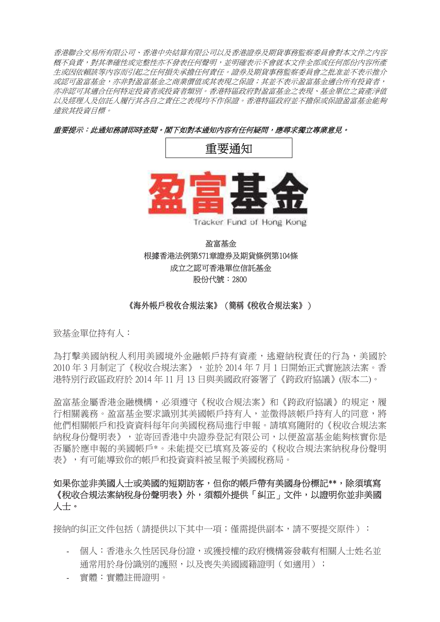香港聯合交易所有限公司、香港中央結算有限公司以及香港證券及期貨事務監察委員會對本文件之內容 概不負責,對其準確性或完整性亦不發表任何聲明,並明確表示不會就本文件全部或任何部份內容所產 生或因依賴該等內容而引起之任何損失承擔任何責任。證券及期貨事務監察委員會之批准並不表示推介 或認可盈富基金,亦非對盈富基金之商業價值或其表現之保證;其並不表示盈富基金適合所有投資者, 亦非認可其適合任何特定投資者或投資者類別。香港特區政府對盈富基金之表現、基金單位之資產淨值 以及經理人及信託人履行其各自之責任之表現均不作保證。香港特區政府並不擔保或保證盈富基金能夠 達致其投資目標。

重要提示:此通知務請即時查閱。閣下如對本通知內容有任何疑問,應尋求獨立專業意見。



重要通知

## 盈富基金 根據香港法例第571章證券及期貨條例第104條 成立之認可香港單位信託基金 股份代號:2800

## 《海外帳戶稅收合規法案》(簡稱《稅收合規法案》)

致基金單位持有人:

為打擊美國納稅人利用美國境外金融帳戶持有資產,逃避納稅責任的行為,美國於 2010 年 3 月制定了《稅收合規法案》,並於 2014 年 7 月 1 日開始正式實施該法案。香 港特別行政區政府於 2014 年 11 月 13 日與美國政府簽署了《跨政府協議》(版本二)。

盈富基金屬香港金融機構,必須導守《稅收合規法案》和《跨政府協議》的規定,履 行相關義務。盈富基金要求識別其美國帳戶持有人,並徵得該帳戶持有人的同意,將 他們相關帳戶和投資資料每年向美國稅務局進行申報。請填寫隨附的《稅收合規法案 納稅身份聲明表》,並寄回香港中央證券登記有限公司,以便盈富基金能夠核實你是 否屬於應申報的美國帳戶\*。未能提交已填寫及簽妥的《稅收合規法案納稅身份聲明 表》,有可能導致你的帳戶和投資資料被呈報予美國稅務局。

# 如果你並非美國人士或美國的短期訪客,但你的帳戶帶有美國身份標記\*\*,除須填寫 《稅收合規法案納稅身份聲明表》外,須額外提供「糾正」文件,以證明你並非美國 人士。

接納的糾正文件包括(請提供以下其中一項;僅需提供副本,請不要提交原件):

- 個人:香港永久性居民身份證,或獲授權的政府機構簽發載有相關人士姓名並 通常用於身份識別的護照,以及喪失美國國籍證明(如適用);
- 實體:實體註冊證明。